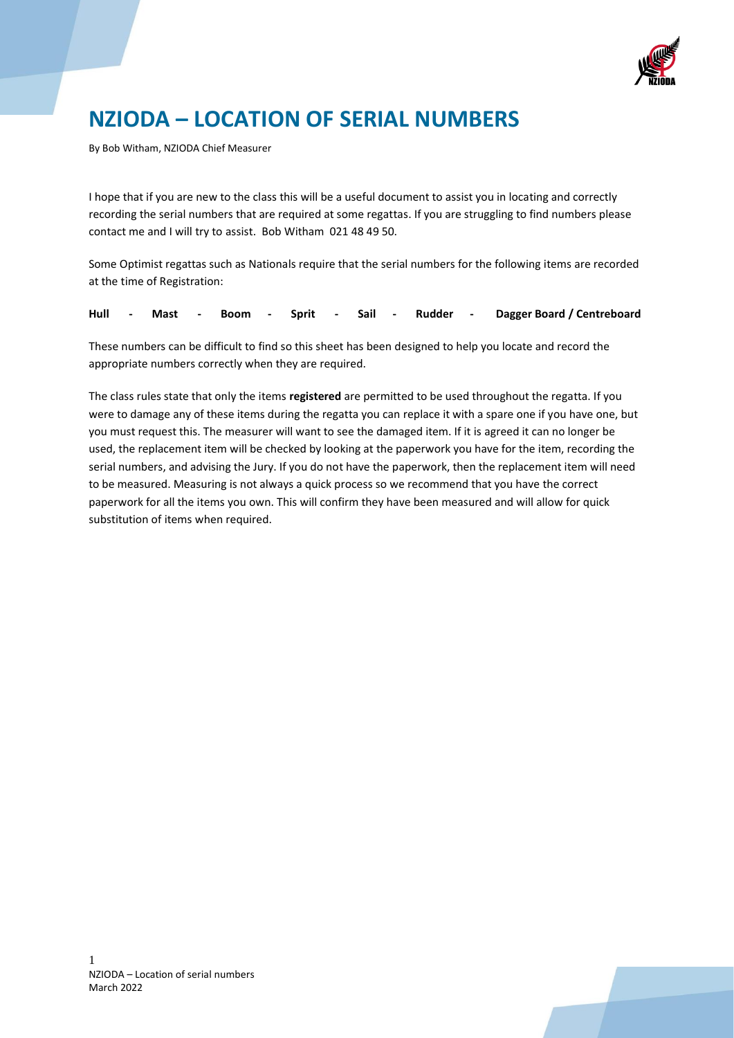

# **NZIODA – LOCATION OF SERIAL NUMBERS**

By Bob Witham, NZIODA Chief Measurer

I hope that if you are new to the class this will be a useful document to assist you in locating and correctly recording the serial numbers that are required at some regattas. If you are struggling to find numbers please contact me and I will try to assist. Bob Witham 021 48 49 50.

Some Optimist regattas such as Nationals require that the serial numbers for the following items are recorded at the time of Registration:

|  |  |  |  |  |  |  |  |  |  |  |  | Hull - Mast - Boom - Sprit - Sail - Rudder - Dagger-Board / Centreboard |  |
|--|--|--|--|--|--|--|--|--|--|--|--|-------------------------------------------------------------------------|--|
|--|--|--|--|--|--|--|--|--|--|--|--|-------------------------------------------------------------------------|--|

These numbers can be difficult to find so this sheet has been designed to help you locate and record the appropriate numbers correctly when they are required.

The class rules state that only the items **registered** are permitted to be used throughout the regatta. If you were to damage any of these items during the regatta you can replace it with a spare one if you have one, but you must request this. The measurer will want to see the damaged item. If it is agreed it can no longer be used, the replacement item will be checked by looking at the paperwork you have for the item, recording the serial numbers, and advising the Jury. If you do not have the paperwork, then the replacement item will need to be measured. Measuring is not always a quick process so we recommend that you have the correct paperwork for all the items you own. This will confirm they have been measured and will allow for quick substitution of items when required.

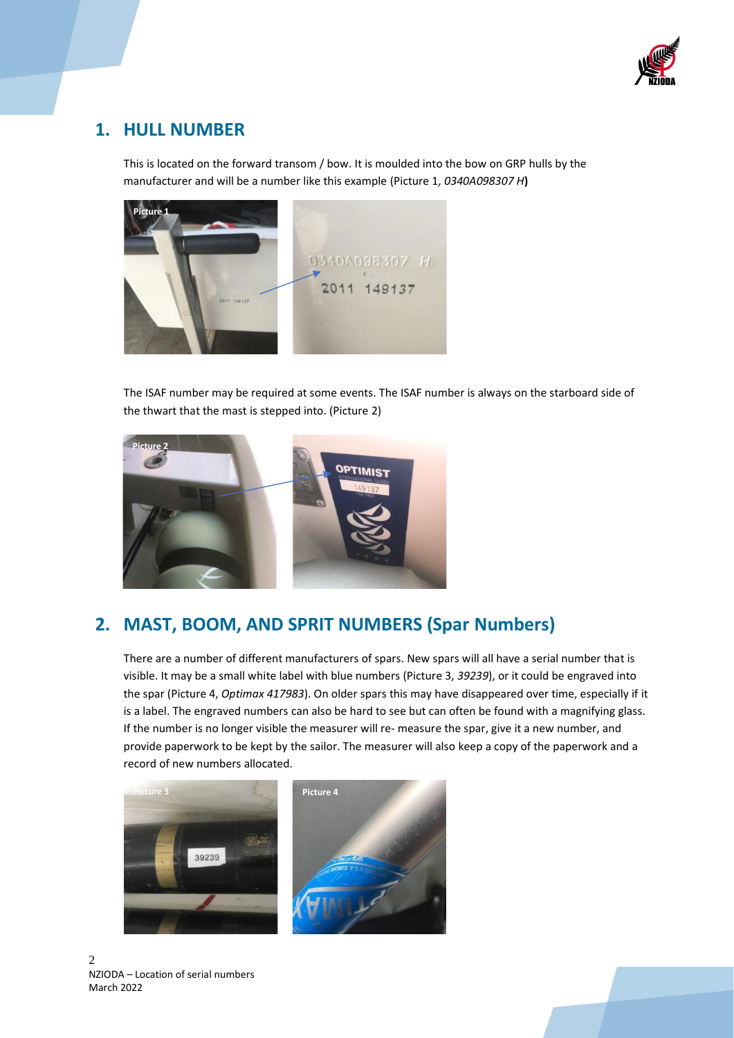

### **1. HULL NUMBER**

This is located on the forward transom / bow. It is moulded into the bow on GRP hulls by the manufacturer and will be a number like this example (Picture 1*, 0340A098307 H***)**



The ISAF number may be required at some events. The ISAF number is always on the starboard side of the thwart that the mast is stepped into. (Picture 2)



#### **2. MAST, BOOM, AND SPRIT NUMBERS (Spar Numbers)**

There are a number of different manufacturers of spars. New spars will all have a serial number that is visible. It may be a small white label with blue numbers (Picture 3, *39239*), or it could be engraved into the spar (Picture 4, *Optimax 417983*). On older spars this may have disappeared over time, especially if it is a label. The engraved numbers can also be hard to see but can often be found with a magnifying glass. If the number is no longer visible the measurer will re- measure the spar, give it a new number, and provide paperwork to be kept by the sailor. The measurer will also keep a copy of the paperwork and a record of new numbers allocated.



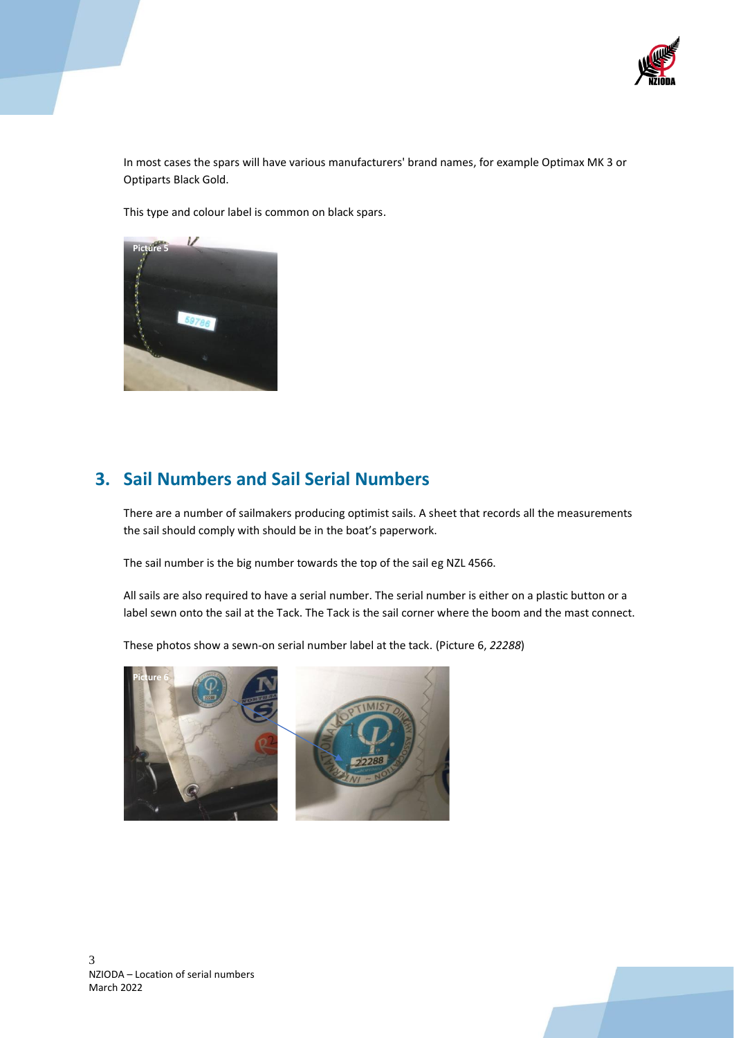

In most cases the spars will have various manufacturers' brand names, for example Optimax MK 3 or Optiparts Black Gold.

This type and colour label is common on black spars.



#### **3. Sail Numbers and Sail Serial Numbers**

There are a number of sailmakers producing optimist sails. A sheet that records all the measurements the sail should comply with should be in the boat's paperwork.

The sail number is the big number towards the top of the sail eg NZL 4566.

All sails are also required to have a serial number. The serial number is either on a plastic button or a label sewn onto the sail at the Tack. The Tack is the sail corner where the boom and the mast connect.

These photos show a sewn-on serial number label at the tack. (Picture 6, *22288*)